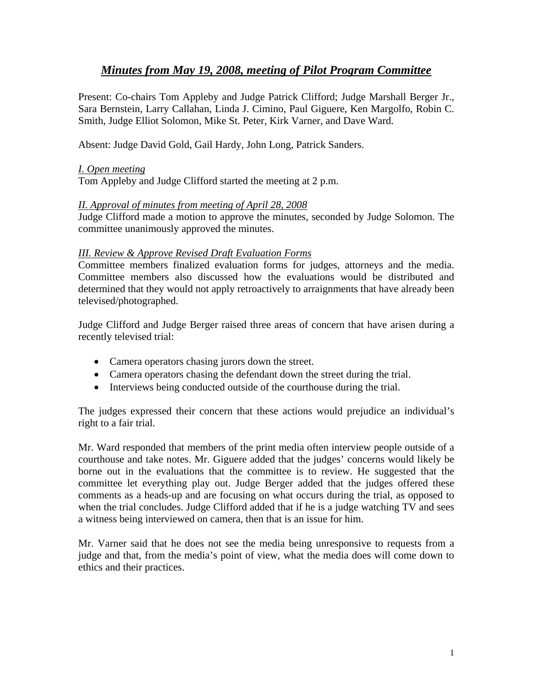# *Minutes from May 19, 2008, meeting of Pilot Program Committee*

Present: Co-chairs Tom Appleby and Judge Patrick Clifford; Judge Marshall Berger Jr., Sara Bernstein, Larry Callahan, Linda J. Cimino, Paul Giguere, Ken Margolfo, Robin C. Smith, Judge Elliot Solomon, Mike St. Peter, Kirk Varner, and Dave Ward.

Absent: Judge David Gold, Gail Hardy, John Long, Patrick Sanders.

## *I. Open meeting*

Tom Appleby and Judge Clifford started the meeting at 2 p.m.

## *II. Approval of minutes from meeting of April 28, 2008*

Judge Clifford made a motion to approve the minutes, seconded by Judge Solomon. The committee unanimously approved the minutes.

#### *III. Review & Approve Revised Draft Evaluation Forms*

Committee members finalized evaluation forms for judges, attorneys and the media. Committee members also discussed how the evaluations would be distributed and determined that they would not apply retroactively to arraignments that have already been televised/photographed.

Judge Clifford and Judge Berger raised three areas of concern that have arisen during a recently televised trial:

- Camera operators chasing jurors down the street.
- Camera operators chasing the defendant down the street during the trial.
- Interviews being conducted outside of the courthouse during the trial.

The judges expressed their concern that these actions would prejudice an individual's right to a fair trial.

Mr. Ward responded that members of the print media often interview people outside of a courthouse and take notes. Mr. Giguere added that the judges' concerns would likely be borne out in the evaluations that the committee is to review. He suggested that the committee let everything play out. Judge Berger added that the judges offered these comments as a heads-up and are focusing on what occurs during the trial, as opposed to when the trial concludes. Judge Clifford added that if he is a judge watching TV and sees a witness being interviewed on camera, then that is an issue for him.

Mr. Varner said that he does not see the media being unresponsive to requests from a judge and that, from the media's point of view, what the media does will come down to ethics and their practices.